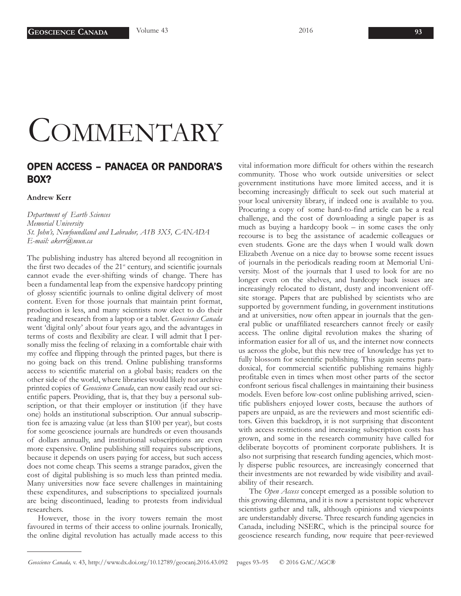## **COMMENTARY**

## OPEN ACCESS – PANACEA OR PANDORA'S BOX?

## **Andrew Kerr**

*Department of Earth Sciences Memorial University St. John's, Newfoundland and Labrador, A1B 3X5, CANADA E-mail: akerr@mun.ca*

The publishing industry has altered beyond all recognition in the first two decades of the  $21<sup>st</sup>$  century, and scientific journals cannot evade the ever-shifting winds of change. There has been a fundamental leap from the expensive hardcopy printing of glossy scientific journals to online digital delivery of most content. Even for those journals that maintain print format, production is less, and many scientists now elect to do their reading and research from a laptop or a tablet. *Geoscience Canada* went 'digital only' about four years ago, and the advantages in terms of costs and flexibility are clear. I will admit that I personally miss the feeling of relaxing in a comfortable chair with my coffee and flipping through the printed pages, but there is no going back on this trend. Online publishing transforms access to scientific material on a global basis; readers on the other side of the world, where libraries would likely not archive printed copies of *Geoscience Canada*, can now easily read our scientific papers. Providing, that is, that they buy a personal subscription, or that their employer or institution (if they have one) holds an institutional subscription. Our annual subscription fee is amazing value (at less than \$100 per year), but costs for some geoscience journals are hundreds or even thousands of dollars annually, and institutional subscriptions are even more expensive. Online publishing still requires subscriptions, because it depends on users paying for access, but such access does not come cheap. This seems a strange paradox, given the cost of digital publishing is so much less than printed media. Many universities now face severe challenges in maintaining these expenditures, and subscriptions to specialized journals are being discontinued, leading to protests from individual researchers.

However, those in the ivory towers remain the most favoured in terms of their access to online journals. Ironically, the online digital revolution has actually made access to this

vital information more difficult for others within the research community. Those who work outside universities or select government institutions have more limited access, and it is becoming increasingly difficult to seek out such material at your local university library, if indeed one is available to you. Procuring a copy of some hard-to-find article can be a real challenge, and the cost of downloading a single paper is as much as buying a hardcopy book – in some cases the only recourse is to beg the assistance of academic colleagues or even students. Gone are the days when I would walk down Elizabeth Avenue on a nice day to browse some recent issues of journals in the periodicals reading room at Memorial University. Most of the journals that I used to look for are no longer even on the shelves, and hardcopy back issues are increasingly relocated to distant, dusty and inconvenient offsite storage. Papers that are published by scientists who are supported by government funding, in government institutions and at universities, now often appear in journals that the general public or unaffiliated researchers cannot freely or easily access. The online digital revolution makes the sharing of information easier for all of us, and the internet now connects us across the globe, but this new tree of knowledge has yet to fully blossom for scientific publishing. This again seems paradoxical, for commercial scientific publishing remains highly profitable even in times when most other parts of the sector confront serious fiscal challenges in maintaining their business models. Even before low-cost online publishing arrived, scientific publishers enjoyed lower costs, because the authors of papers are unpaid, as are the reviewers and most scientific editors. Given this backdrop, it is not surprising that discontent with access restrictions and increasing subscription costs has grown, and some in the research community have called for deliberate boycotts of prominent corporate publishers. It is also not surprising that research funding agencies, which mostly disperse public resources, are increasingly concerned that their investments are not rewarded by wide visibility and availability of their research.

The *Open Access* concept emerged as a possible solution to this growing dilemma, and it is now a persistent topic wherever scientists gather and talk, although opinions and viewpoints are understandably diverse. Three research funding agencies in Canada, including NSERC, which is the principal source for geoscience research funding, now require that peer-reviewed

*Geoscience Canada,* v. 43, http://www.dx.doi.org/10.12789/geocanj.2016.43.092 pages 93–95 © 2016 GAC/AGC®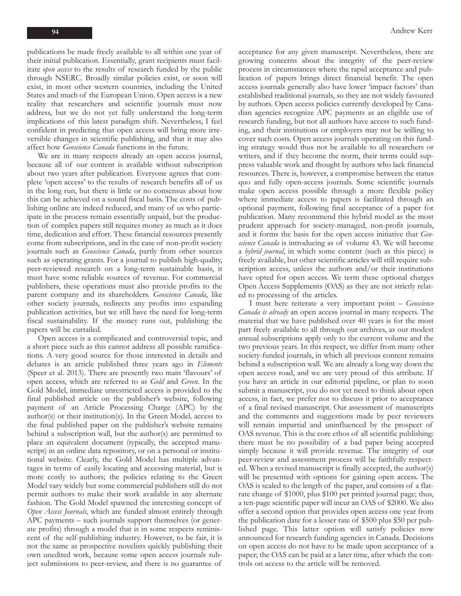publications be made freely available to all within one year of their initial publication. Essentially, grant recipients must facilitate *open access* to the results of research funded by the public through NSERC. Broadly similar policies exist, or soon will exist, in most other western countries, including the United States and much of the European Union. Open access is a new reality that researchers and scientific journals must now address, but we do not yet fully understand the long-term implications of this latest paradigm shift. Nevertheless, I feel confident in predicting that open access will bring more irreversible changes in scientific publishing, and that it may also affect how *Geoscience Canada* functions in the future.

We are in many respects already an open access journal, because all of our content is available without subscription about two years after publication. Everyone agrees that complete 'open access' to the results of research benefits all of us in the long run, but there is little or no consensus about how this can be achieved on a sound fiscal basis. The costs of publishing online are indeed reduced, and many of us who participate in the process remain essentially unpaid, but the production of complex papers still requires money as much as it does time, dedication and effort. These financial resources presently come from subscriptions, and in the case of non-profit society journals such as *Geoscience Canada*, partly from other sources such as operating grants. For a journal to publish high-quality, peer-reviewed research on a long-term sustainable basis, it must have some reliable sources of revenue. For commercial publishers, these operations must also provide profits to the parent company and its shareholders. *Geoscience Canada*, like other society journals, redirects any profits into expanding publication activities, but we still have the need for long-term fiscal sustainability. If the money runs out, publishing the papers will be curtailed.

Open access is a complicated and controversial topic, and a short piece such as this cannot address all possible ramifications. A very good source for those interested in details and debates is an article published three years ago in *Elements* (Speer et al. 2013). There are presently two main 'flavours' of open access, which are referred to as *Gold* and *Green*. In the Gold Model, immediate unrestricted access is provided to the final published article on the publisher's website, following payment of an Article Processing Charge (APC) by the author(s) or their institution(s). In the Green Model*,* access to the final published paper on the publisher's website remains behind a subscription wall, but the author(s) are permitted to place an equivalent document (typically, the accepted manuscript) in an online data repository, or on a personal or institutional website. Clearly, the Gold Model has multiple advantages in terms of easily locating and accessing material, but is more costly to authors; the policies relating to the Green Model vary widely but some commercial publishers still do not permit authors to make their work available in any alternate fashion. The Gold Model spawned the interesting concept of *Open Access Journals*, which are funded almost entirely through APC payments – such journals support themselves (or generate profits) through a model that is in some respects reminiscent of the self-publishing industry. However, to be fair, it is not the same as prospective novelists quickly publishing their own unedited work, because some open access journals subject submissions to peer-review, and there is no guarantee of

acceptance for any given manuscript. Nevertheless, there are growing concerns about the integrity of the peer-review process in circumstances where the rapid acceptance and publication of papers brings direct financial benefit. The open access journals generally also have lower 'impact factors' than established traditional journals, so they are not widely favoured by authors. Open access policies currently developed by Canadian agencies recognize APC payments as an eligible use of research funding, but not all authors have access to such funding, and their institutions or employers may not be willing to cover such costs. Open access journals operating on this funding strategy would thus not be available to all researchers or writers, and if they become the norm, their terms could suppress valuable work and thought by authors who lack financial resources. There is, however, a compromise between the status quo and fully open-access journals. Some scientific journals make open access possible through a more flexible policy where immediate access to papers is facilitated through an optional payment, following final acceptance of a paper for publication. Many recommend this hybrid model as the most prudent approach for society-managed, non-profit journals, and it forms the basis for the open access initiative that *Geoscience Canada* is introducing as of volume 43. We will become a *hybrid journal*, in which some content (such as this piece) is freely available, but other scientific articles will still require subscription access, unless the authors and/or their institutions have opted for open access. We term these optional charges Open Access Supplements (OAS) as they are not strictly related to processing of the articles.

I must here reiterate a very important point – *Geoscience Canada is already* an open access journal in many respects. The material that we have published over 40 years is for the most part freely available to all through our archives, as our modest annual subscriptions apply only to the current volume and the two previous years. In this respect, we differ from many other society-funded journals, in which all previous content remains behind a subscription wall. We are already a long way down the open access road, and we are very proud of this attribute. If you have an article in our editorial pipeline, or plan to soon submit a manuscript, you do not yet need to think about open access, in fact, we prefer not to discuss it prior to acceptance of a final revised manuscript. Our assessment of manuscripts and the comments and suggestions made by peer reviewers will remain impartial and uninfluenced by the prospect of OAS revenue. This is the core ethos of all scientific publishing: there must be no possibility of a bad paper being accepted simply because it will provide revenue. The integrity of our peer-review and assessment process will be faithfully respected. When a revised manuscript is finally accepted, the author(s) will be presented with options for gaining open access. The OAS is scaled to the length of the paper, and consists of a flatrate charge of \$1000, plus \$100 per printed journal page; thus, a ten-page scientific paper will incur an OAS of \$2000. We also offer a second option that provides open access one year from the publication date for a lesser rate of \$500 plus \$50 per published page. This latter option will satisfy policies now announced for research funding agencies in Canada. Decisions on open access do not have to be made upon acceptance of a paper; the OAS can be paid at a later time, after which the controls on access to the article will be removed.